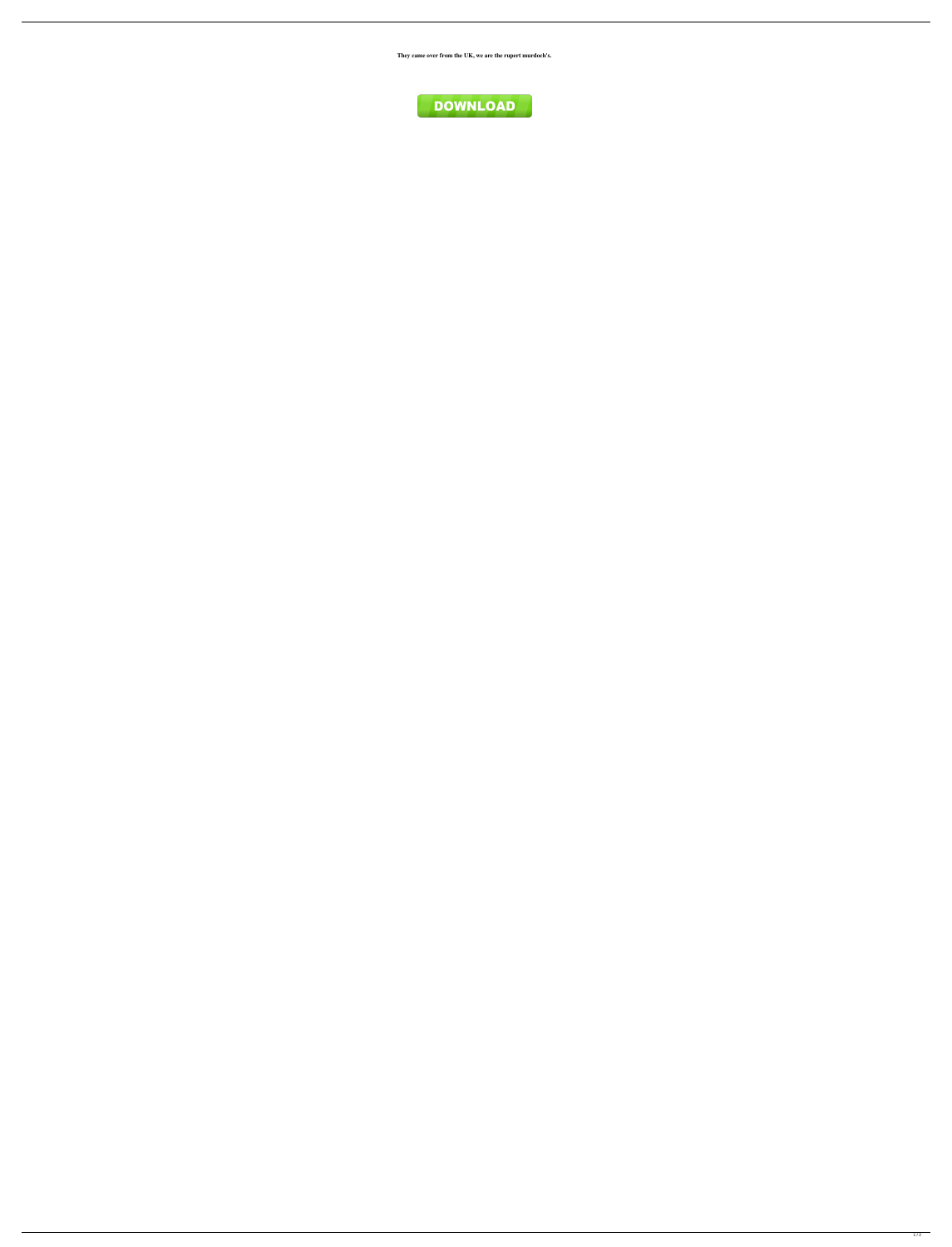**They came over from the UK, we are the rupert murdoch's.**